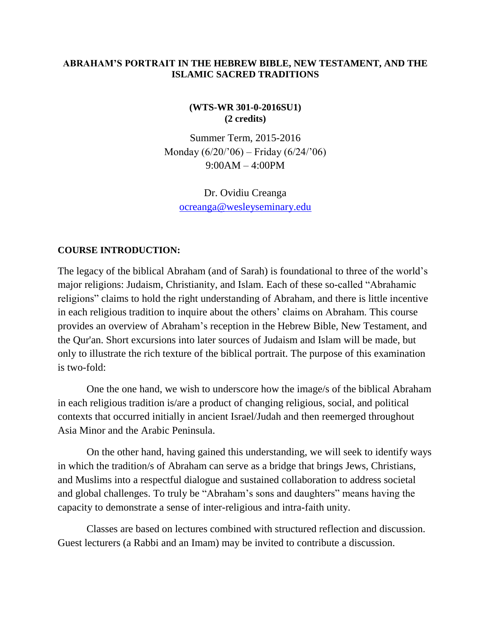#### **ABRAHAM'S PORTRAIT IN THE HEBREW BIBLE, NEW TESTAMENT, AND THE ISLAMIC SACRED TRADITIONS**

### **(WTS-WR 301-0-2016SU1) (2 credits)**

Summer Term, 2015-2016 Monday  $(6/20/96)$  – Friday  $(6/24/96)$ 9:00AM – 4:00PM

Dr. Ovidiu Creanga [ocreanga@wesleyseminary.edu](mailto:ocreanga@wesleyseminary.edu)

#### **COURSE INTRODUCTION:**

The legacy of the biblical Abraham (and of Sarah) is foundational to three of the world's major religions: Judaism, Christianity, and Islam. Each of these so-called "Abrahamic religions" claims to hold the right understanding of Abraham, and there is little incentive in each religious tradition to inquire about the others' claims on Abraham. This course provides an overview of Abraham's reception in the Hebrew Bible, New Testament, and the Qur'an. Short excursions into later sources of Judaism and Islam will be made, but only to illustrate the rich texture of the biblical portrait. The purpose of this examination is two-fold:

One the one hand, we wish to underscore how the image/s of the biblical Abraham in each religious tradition is/are a product of changing religious, social, and political contexts that occurred initially in ancient Israel/Judah and then reemerged throughout Asia Minor and the Arabic Peninsula.

On the other hand, having gained this understanding, we will seek to identify ways in which the tradition/s of Abraham can serve as a bridge that brings Jews, Christians, and Muslims into a respectful dialogue and sustained collaboration to address societal and global challenges. To truly be "Abraham's sons and daughters" means having the capacity to demonstrate a sense of inter-religious and intra-faith unity.

Classes are based on lectures combined with structured reflection and discussion. Guest lecturers (a Rabbi and an Imam) may be invited to contribute a discussion.